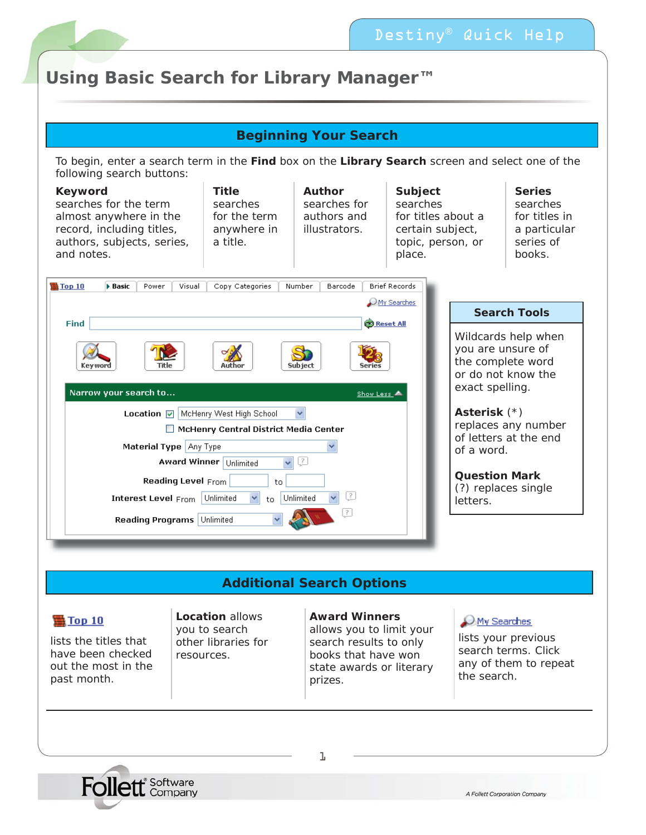

# **Using Basic Search for Library Manager™**

## **Beginning Your Search**

To begin, enter a search term in the **Find** box on the **Library Search** screen and select one of the following search buttons:

| <b>Keyword</b><br>searches for the term<br>almost anywhere in the<br>record, including titles,<br>authors, subjects, series,<br>and notes. | <b>Title</b><br>searches<br>for the term<br>anywhere in<br>a title.                           | Author<br>searches for<br>authors and<br>illustrators. | Subject<br>searches<br>for titles about a<br>certain subject,<br>topic, person, or<br>place. |                                  | <b>Series</b><br>searches<br>for titles in<br>a particular<br>series of<br>books.   |
|--------------------------------------------------------------------------------------------------------------------------------------------|-----------------------------------------------------------------------------------------------|--------------------------------------------------------|----------------------------------------------------------------------------------------------|----------------------------------|-------------------------------------------------------------------------------------|
| 意Top 10<br><b>Basic</b><br>Power<br>Visual                                                                                                 | Copy Categories                                                                               | Barcode<br>Number                                      | <b>Brief Records</b><br>$\mathcal{O}$ My Searches                                            |                                  |                                                                                     |
| Find                                                                                                                                       |                                                                                               | <b>B</b> Reset All                                     |                                                                                              |                                  | <b>Search Tools</b>                                                                 |
| Keyword<br>Title<br>Narrow your search to                                                                                                  | Author                                                                                        | <b>Subject</b><br>Series<br>Show Less                  |                                                                                              | exact spelling.                  | Wildcards help when<br>you are unsure of<br>the complete word<br>or do not know the |
| Location $\nabla$<br>Material Type Any Type                                                                                                | McHenry West High School<br>McHenry Central District Media Center<br>Award Winner   Unlimited | $\left  \cdot \right\rangle$                           |                                                                                              | Asterisk (*)<br>of a word.       | replaces any number<br>of letters at the end                                        |
| <b>Reading Level From</b><br><b>Interest Level From</b>                                                                                    | to<br>$\checkmark$<br>Unlimited<br>$t\Omega$                                                  | Ţ<br>Unlimited<br> ?                                   |                                                                                              | <b>Question Mark</b><br>letters. | (?) replaces single                                                                 |
| Reading Programs   Unlimited                                                                                                               |                                                                                               |                                                        |                                                                                              |                                  |                                                                                     |

# **Additional Search Options**

### **意Top 10**

lists the titles that have been checked out the most in the past month.

**Location** allows you to search other libraries for resources.

#### **Award Winners**

allows you to limit your search results to only books that have won state awards or literary prizes.

#### O My Searches

lists your previous search terms. Click any of them to repeat the search.



1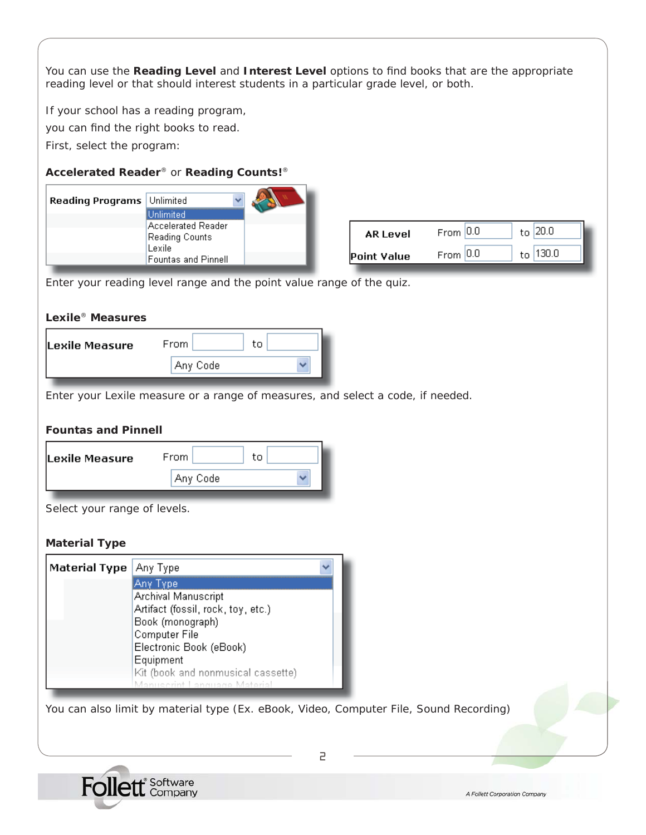You can use the Reading Level and Interest Level options to find books that are the appropriate reading level or that should interest students in a particular grade level, or both.

If your school has a reading program,

you can find the right books to read.

First, select the program:

### **Accelerated Reader**® or **Reading Counts!**®

| Reading Programs | Unlimited                                         |                 |              |              |
|------------------|---------------------------------------------------|-----------------|--------------|--------------|
|                  | Unlimited<br>Accelerated Reader<br>Reading Counts | <b>AR Level</b> | From $ 0.0 $ | to $20.0$    |
|                  | Lexile<br><b>Fountas and Pinnell</b>              | Point Value     | From $ 0.0 $ | 130.0<br>to. |

Enter your reading level range and the point value range of the quiz.

#### **Lexile**® **Measures**

| Lexile Measure | From.<br>tο |  |
|----------------|-------------|--|
|                | Any Code    |  |

Enter your Lexile measure or a range of measures, and select a code, if needed.

#### **Fountas and Pinnell**

| Lexile Measure | From        | tο |
|----------------|-------------|----|
|                | ' Anγ Codel |    |
|                |             |    |

Select your range of levels.

#### **Material Type**

| <b>Material Type</b> | Any Type                           |
|----------------------|------------------------------------|
|                      | Any Type                           |
|                      | Archival Manuscript                |
|                      | Artifact (fossil, rock, toy, etc.) |
|                      | Book (monograph)                   |
|                      | Computer File                      |
|                      | Electronic Book (eBook)            |
|                      | Equipment                          |
|                      | Kit (book and nonmusical cassette) |
|                      | Manuscrint Language Material       |

You can also limit by material type (Ex. eBook, Video, Computer File, Sound Recording)



2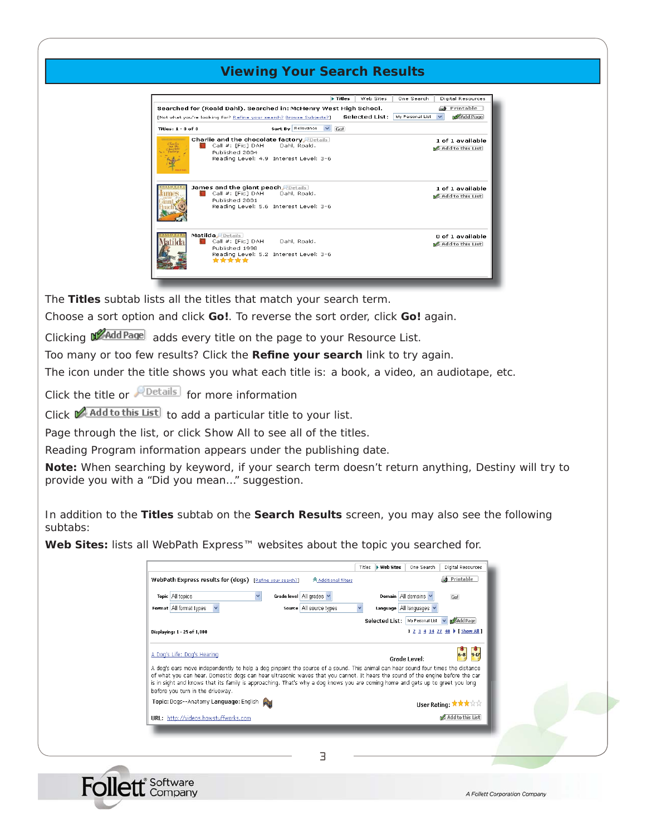### **Viewing Your Search Results**

|                        |                                                                                                                                   |                   | <b>Filtes</b> | Web Sites      | One Search       | <b>Digital Resources</b>             |
|------------------------|-----------------------------------------------------------------------------------------------------------------------------------|-------------------|---------------|----------------|------------------|--------------------------------------|
|                        | Searched for (Roald Dahl). Searched in: McHenry West High School.                                                                 |                   |               |                |                  | Printable                            |
|                        | [Not what you're looking for? Refine your search? Browse Subjects?]                                                               |                   |               | Selected List: | My Personal List | M <sup>2</sup> Add Page              |
| Titles: $1 - 3$ of $3$ |                                                                                                                                   | Sort By Relevance | Gol           |                |                  |                                      |
| Charlie                | <b>Charlie and the chocolate factory Petails</b><br>Call #: [Fic] DAH<br>Published 2004<br>Reading Level: 4.9 Interest Level: 3-6 | Dahl, Roald.      |               |                |                  | 1 of 1 available<br>Add to this List |
|                        | James and the giant peach Details<br>Call #: [Fic] DAH<br>Published 2001<br>Reading Level: 5.6 Interest Level: 3-6                | Dahl, Roald.      |               |                |                  | 1 of 1 available<br>Add to this List |
|                        | Matilda Details<br>Call #: [Fic] DAH<br>Published 1998<br>Reading Level: 5.2 Interest Level: 3-6<br>*****                         | Dahl, Roald,      |               |                |                  | 0 of 1 available<br>Add to this List |

The **Titles** subtab lists all the titles that match your search term.

Choose a sort option and click **Go!**. To reverse the sort order, click **Go!** again.

Clicking **M**AddPage adds every title on the page to your Resource List.

Too many or too few results? Click the Refine your search link to try again.

The icon under the title shows you what each title is: a book, a video, an audiotape, etc.

Click the title or *postalls* for more information

**Follett** Company

Click **Add to this List** to add a particular title to your list.

Page through the list, or click Show All to see all of the titles.

Reading Program information appears under the publishing date.

**Note:** When searching by keyword, if your search term doesn't return anything, Destiny will try to provide you with a "*Did you mean…*" suggestion.

In addition to the **Titles** subtab on the **Search Results** screen, you may also see the following subtabs:

**Web Sites:** lists all WebPath Express™ websites about the topic you searched for.

| Topic All topics                                                                                                                                                                                                                                                                                                                                                                                                                         | Grade level All grades    | Domain All domains                                                        | Go!                             |  |
|------------------------------------------------------------------------------------------------------------------------------------------------------------------------------------------------------------------------------------------------------------------------------------------------------------------------------------------------------------------------------------------------------------------------------------------|---------------------------|---------------------------------------------------------------------------|---------------------------------|--|
| Format All format types<br>$\checkmark$                                                                                                                                                                                                                                                                                                                                                                                                  | source   All source types | Language   All languages V<br>Selected List: My Personal List v MAdd Page |                                 |  |
| Displaying: 1 - 25 of 1,000                                                                                                                                                                                                                                                                                                                                                                                                              |                           |                                                                           | 1 2 3 4 14 27 40 ▶ [ Show All ] |  |
| A Dog's Life: Dog's Hearing                                                                                                                                                                                                                                                                                                                                                                                                              |                           | Grade Level:                                                              | $6-8$ $9-12$                    |  |
| A dog's ears move independently to help a dog pinpoint the source of a sound. This animal can hear sound four times the distance<br>of what you can hear. Domestic dogs can hear ultrasonic waves that you cannot. It hears the sound of the engine before the car<br>is in sight and knows that its family is approaching. That's why a dog knows you are coming home and gets up to greet you long<br>before you turn in the driveway. |                           |                                                                           |                                 |  |
| Topic: Dogs--Anatomy Language: English                                                                                                                                                                                                                                                                                                                                                                                                   |                           |                                                                           | User Rating: ★★★☆☆              |  |
| URL: http://videos.howstuffworks.com                                                                                                                                                                                                                                                                                                                                                                                                     |                           |                                                                           | Add to this List                |  |

A Follett Corporation Company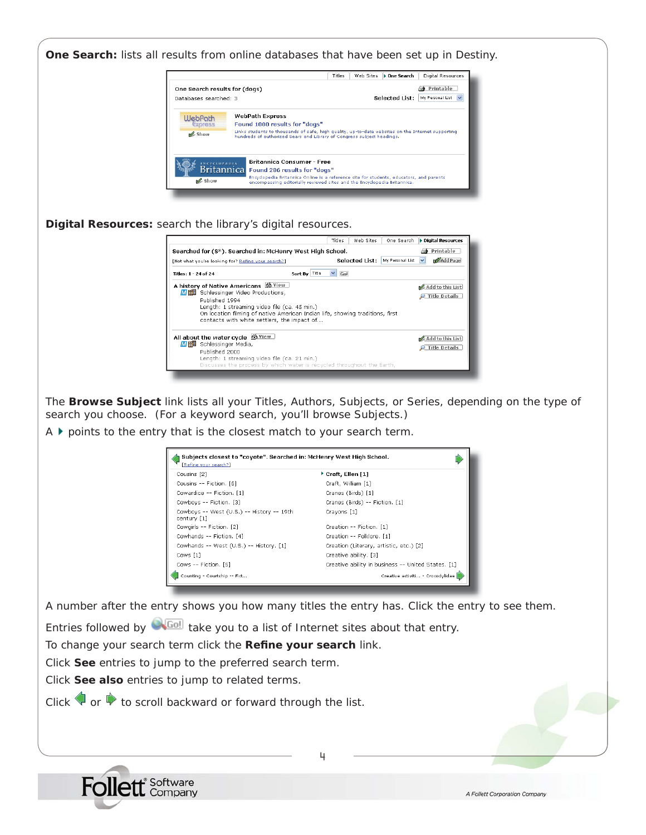

4

Click **See** entries to jump to the preferred search term.

Click **See also** entries to jump to related terms.

Click  $\blacklozenge$  or  $\blacktriangleright$  to scroll backward or forward through the list.

**Follett** Company